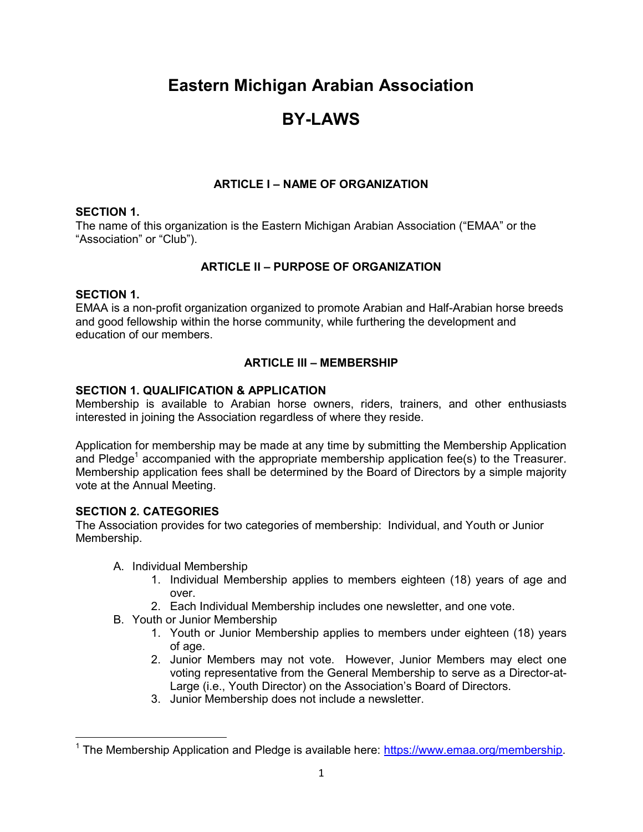# Eastern Michigan Arabian Association

# BY-LAWS

# ARTICLE I – NAME OF ORGANIZATION

## SECTION 1.

The name of this organization is the Eastern Michigan Arabian Association ("EMAA" or the "Association" or "Club").

# ARTICLE II – PURPOSE OF ORGANIZATION

## SECTION 1.

EMAA is a non-profit organization organized to promote Arabian and Half-Arabian horse breeds and good fellowship within the horse community, while furthering the development and education of our members.

# ARTICLE III – MEMBERSHIP

## SECTION 1. QUALIFICATION & APPLICATION

Membership is available to Arabian horse owners, riders, trainers, and other enthusiasts interested in joining the Association regardless of where they reside.

Application for membership may be made at any time by submitting the Membership Application and Pledge<sup>1</sup> accompanied with the appropriate membership application fee(s) to the Treasurer. Membership application fees shall be determined by the Board of Directors by a simple majority vote at the Annual Meeting.

# SECTION 2. CATEGORIES

The Association provides for two categories of membership: Individual, and Youth or Junior Membership.

- A. Individual Membership
	- 1. Individual Membership applies to members eighteen (18) years of age and over.
	- 2. Each Individual Membership includes one newsletter, and one vote.
- B. Youth or Junior Membership
	- 1. Youth or Junior Membership applies to members under eighteen (18) years of age.
	- 2. Junior Members may not vote. However, Junior Members may elect one voting representative from the General Membership to serve as a Director-at-Large (i.e., Youth Director) on the Association's Board of Directors.
	- 3. Junior Membership does not include a newsletter.

 $^{\text{\tiny{\textup{1}}} }$  The Membership Application and Pledge is available here: <u>https://www.emaa.org/membership</u>.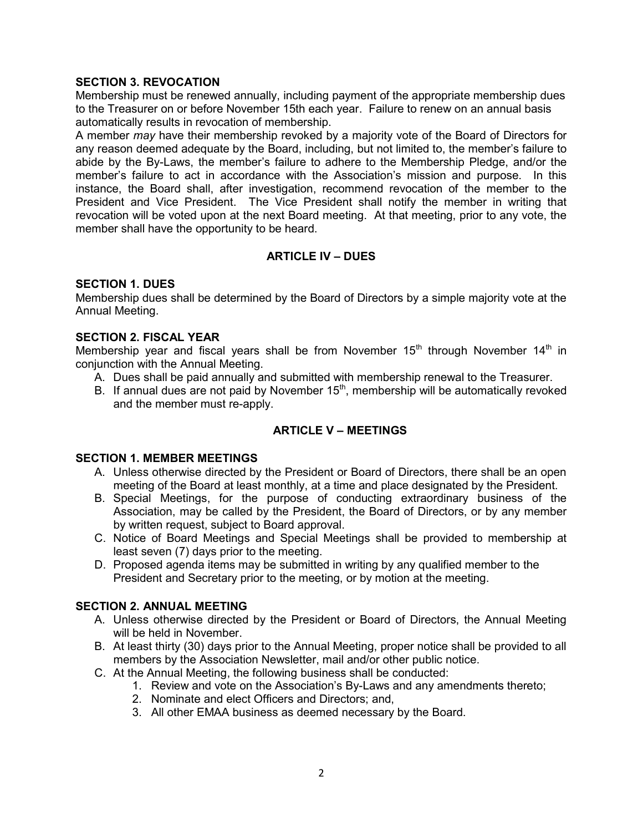#### SECTION 3. REVOCATION

Membership must be renewed annually, including payment of the appropriate membership dues to the Treasurer on or before November 15th each year. Failure to renew on an annual basis automatically results in revocation of membership.

A member may have their membership revoked by a majority vote of the Board of Directors for any reason deemed adequate by the Board, including, but not limited to, the member's failure to abide by the By-Laws, the member's failure to adhere to the Membership Pledge, and/or the member's failure to act in accordance with the Association's mission and purpose. In this instance, the Board shall, after investigation, recommend revocation of the member to the President and Vice President. The Vice President shall notify the member in writing that revocation will be voted upon at the next Board meeting. At that meeting, prior to any vote, the member shall have the opportunity to be heard.

## ARTICLE IV – DUES

#### SECTION 1. DUES

Membership dues shall be determined by the Board of Directors by a simple majority vote at the Annual Meeting.

#### SECTION 2. FISCAL YEAR

Membership year and fiscal years shall be from November  $15<sup>th</sup>$  through November  $14<sup>th</sup>$  in conjunction with the Annual Meeting.

- A. Dues shall be paid annually and submitted with membership renewal to the Treasurer.
- B. If annual dues are not paid by November  $15<sup>th</sup>$ , membership will be automatically revoked and the member must re-apply.

#### ARTICLE V – MEETINGS

#### SECTION 1. MEMBER MEETINGS

- A. Unless otherwise directed by the President or Board of Directors, there shall be an open meeting of the Board at least monthly, at a time and place designated by the President.
- B. Special Meetings, for the purpose of conducting extraordinary business of the Association, may be called by the President, the Board of Directors, or by any member by written request, subject to Board approval.
- C. Notice of Board Meetings and Special Meetings shall be provided to membership at least seven (7) days prior to the meeting.
- D. Proposed agenda items may be submitted in writing by any qualified member to the President and Secretary prior to the meeting, or by motion at the meeting.

#### SECTION 2. ANNUAL MEETING

- A. Unless otherwise directed by the President or Board of Directors, the Annual Meeting will be held in November.
- B. At least thirty (30) days prior to the Annual Meeting, proper notice shall be provided to all members by the Association Newsletter, mail and/or other public notice.
- C. At the Annual Meeting, the following business shall be conducted:
	- 1. Review and vote on the Association's By-Laws and any amendments thereto;
	- 2. Nominate and elect Officers and Directors; and,
	- 3. All other EMAA business as deemed necessary by the Board.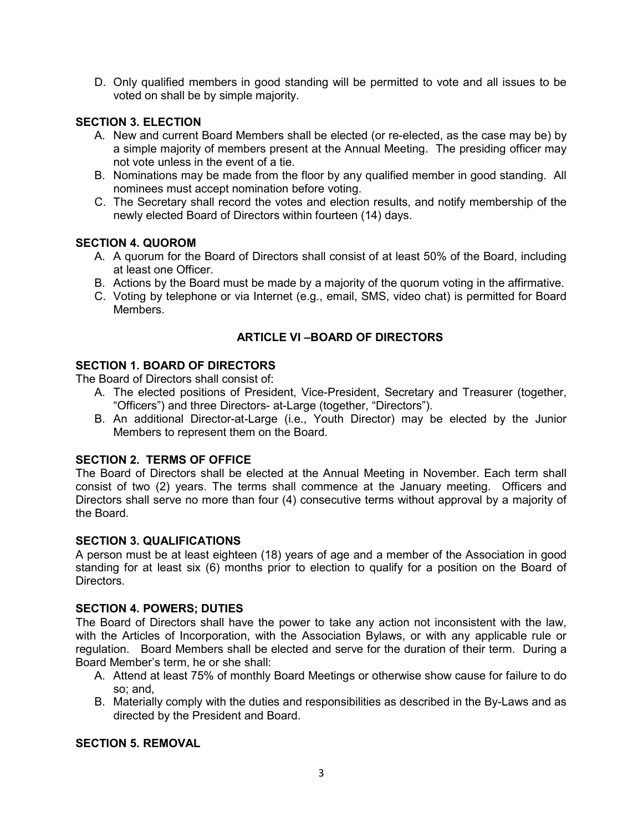D. Only qualified members in good standing will be permitted to vote and all issues to be voted on shall be by simple majority.

#### SECTION 3. ELECTION

- A. New and current Board Members shall be elected (or re-elected, as the case may be) by a simple majority of members present at the Annual Meeting. The presiding officer may not vote unless in the event of a tie.
- B. Nominations may be made from the floor by any qualified member in good standing. All nominees must accept nomination before voting.
- C. The Secretary shall record the votes and election results, and notify membership of the newly elected Board of Directors within fourteen (14) days.

#### SECTION 4. QUOROM

- A. A quorum for the Board of Directors shall consist of at least 50% of the Board, including at least one Officer.
- B. Actions by the Board must be made by a majority of the quorum voting in the affirmative.
- C. Voting by telephone or via Internet (e.g., email, SMS, video chat) is permitted for Board Members.

# ARTICLE VI –BOARD OF DIRECTORS

## SECTION 1. BOARD OF DIRECTORS

The Board of Directors shall consist of:

- A. The elected positions of President, Vice-President, Secretary and Treasurer (together, "Officers") and three Directors- at-Large (together, "Directors").
- B. An additional Director-at-Large (i.e., Youth Director) may be elected by the Junior Members to represent them on the Board.

#### SECTION 2. TERMS OF OFFICE

The Board of Directors shall be elected at the Annual Meeting in November. Each term shall consist of two (2) years. The terms shall commence at the January meeting. Officers and Directors shall serve no more than four (4) consecutive terms without approval by a majority of the Board.

#### SECTION 3. QUALIFICATIONS

A person must be at least eighteen (18) years of age and a member of the Association in good standing for at least six (6) months prior to election to qualify for a position on the Board of Directors.

#### SECTION 4. POWERS; DUTIES

The Board of Directors shall have the power to take any action not inconsistent with the law, with the Articles of Incorporation, with the Association Bylaws, or with any applicable rule or regulation. Board Members shall be elected and serve for the duration of their term. During a Board Member's term, he or she shall:

- A. Attend at least 75% of monthly Board Meetings or otherwise show cause for failure to do so; and,
- B. Materially comply with the duties and responsibilities as described in the By-Laws and as directed by the President and Board.

# SECTION 5. REMOVAL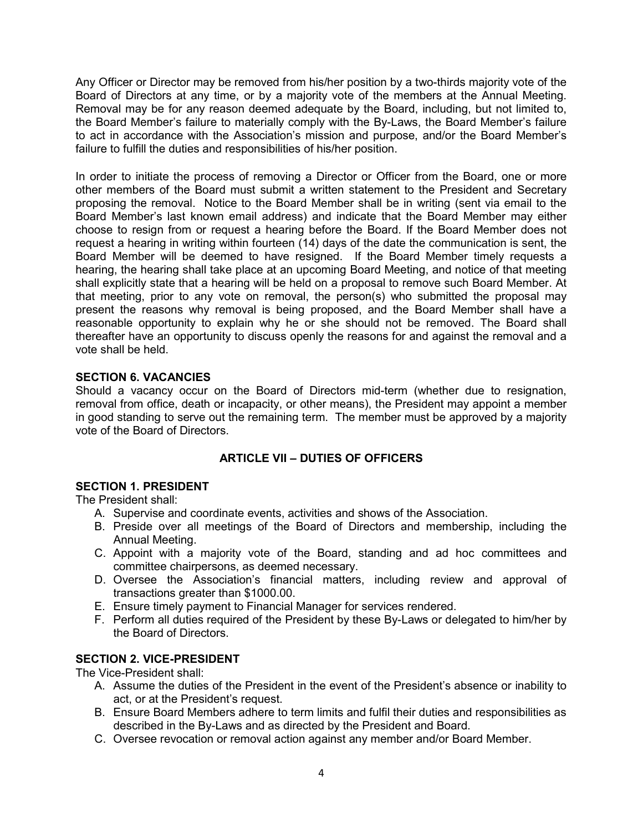Any Officer or Director may be removed from his/her position by a two-thirds majority vote of the Board of Directors at any time, or by a majority vote of the members at the Annual Meeting. Removal may be for any reason deemed adequate by the Board, including, but not limited to, the Board Member's failure to materially comply with the By-Laws, the Board Member's failure to act in accordance with the Association's mission and purpose, and/or the Board Member's failure to fulfill the duties and responsibilities of his/her position.

In order to initiate the process of removing a Director or Officer from the Board, one or more other members of the Board must submit a written statement to the President and Secretary proposing the removal. Notice to the Board Member shall be in writing (sent via email to the Board Member's last known email address) and indicate that the Board Member may either choose to resign from or request a hearing before the Board. If the Board Member does not request a hearing in writing within fourteen (14) days of the date the communication is sent, the Board Member will be deemed to have resigned. If the Board Member timely requests a hearing, the hearing shall take place at an upcoming Board Meeting, and notice of that meeting shall explicitly state that a hearing will be held on a proposal to remove such Board Member. At that meeting, prior to any vote on removal, the person(s) who submitted the proposal may present the reasons why removal is being proposed, and the Board Member shall have a reasonable opportunity to explain why he or she should not be removed. The Board shall thereafter have an opportunity to discuss openly the reasons for and against the removal and a vote shall be held.

## SECTION 6. VACANCIES

Should a vacancy occur on the Board of Directors mid-term (whether due to resignation, removal from office, death or incapacity, or other means), the President may appoint a member in good standing to serve out the remaining term. The member must be approved by a majority vote of the Board of Directors.

# ARTICLE VII – DUTIES OF OFFICERS

#### SECTION 1. PRESIDENT

The President shall:

- A. Supervise and coordinate events, activities and shows of the Association.
- B. Preside over all meetings of the Board of Directors and membership, including the Annual Meeting.
- C. Appoint with a majority vote of the Board, standing and ad hoc committees and committee chairpersons, as deemed necessary.
- D. Oversee the Association's financial matters, including review and approval of transactions greater than \$1000.00.
- E. Ensure timely payment to Financial Manager for services rendered.
- F. Perform all duties required of the President by these By-Laws or delegated to him/her by the Board of Directors.

## SECTION 2. VICE-PRESIDENT

The Vice-President shall:

- A. Assume the duties of the President in the event of the President's absence or inability to act, or at the President's request.
- B. Ensure Board Members adhere to term limits and fulfil their duties and responsibilities as described in the By-Laws and as directed by the President and Board.
- C. Oversee revocation or removal action against any member and/or Board Member.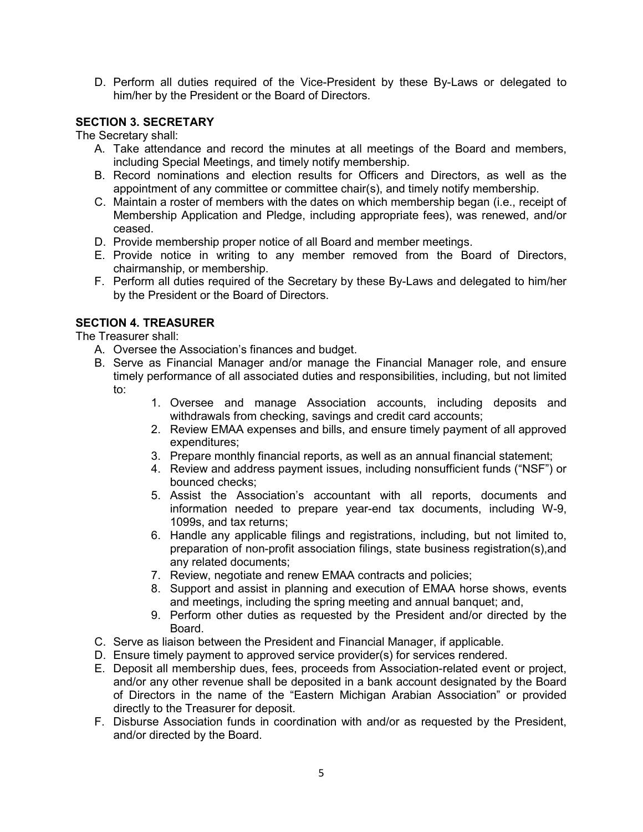D. Perform all duties required of the Vice-President by these By-Laws or delegated to him/her by the President or the Board of Directors.

## SECTION 3. SECRETARY

The Secretary shall:

- A. Take attendance and record the minutes at all meetings of the Board and members, including Special Meetings, and timely notify membership.
- B. Record nominations and election results for Officers and Directors, as well as the appointment of any committee or committee chair(s), and timely notify membership.
- C. Maintain a roster of members with the dates on which membership began (i.e., receipt of Membership Application and Pledge, including appropriate fees), was renewed, and/or ceased.
- D. Provide membership proper notice of all Board and member meetings.
- E. Provide notice in writing to any member removed from the Board of Directors, chairmanship, or membership.
- F. Perform all duties required of the Secretary by these By-Laws and delegated to him/her by the President or the Board of Directors.

## SECTION 4. TREASURER

The Treasurer shall:

- A. Oversee the Association's finances and budget.
- B. Serve as Financial Manager and/or manage the Financial Manager role, and ensure timely performance of all associated duties and responsibilities, including, but not limited to:
	- 1. Oversee and manage Association accounts, including deposits and withdrawals from checking, savings and credit card accounts;
	- 2. Review EMAA expenses and bills, and ensure timely payment of all approved expenditures;
	- 3. Prepare monthly financial reports, as well as an annual financial statement;
	- 4. Review and address payment issues, including nonsufficient funds ("NSF") or bounced checks;
	- 5. Assist the Association's accountant with all reports, documents and information needed to prepare year-end tax documents, including W-9, 1099s, and tax returns;
	- 6. Handle any applicable filings and registrations, including, but not limited to, preparation of non-profit association filings, state business registration(s),and any related documents;
	- 7. Review, negotiate and renew EMAA contracts and policies;
	- 8. Support and assist in planning and execution of EMAA horse shows, events and meetings, including the spring meeting and annual banquet; and,
	- 9. Perform other duties as requested by the President and/or directed by the Board.
- C. Serve as liaison between the President and Financial Manager, if applicable.
- D. Ensure timely payment to approved service provider(s) for services rendered.
- E. Deposit all membership dues, fees, proceeds from Association-related event or project, and/or any other revenue shall be deposited in a bank account designated by the Board of Directors in the name of the "Eastern Michigan Arabian Association" or provided directly to the Treasurer for deposit.
- F. Disburse Association funds in coordination with and/or as requested by the President, and/or directed by the Board.